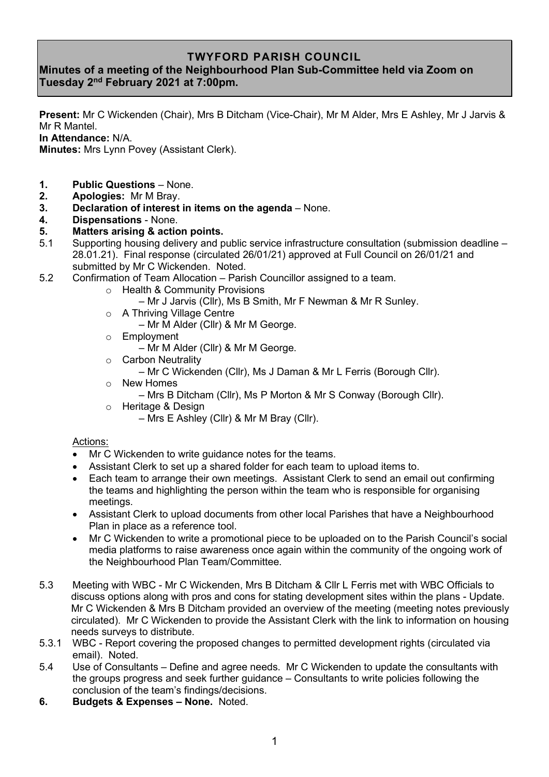## **TWYFORD PARISH COUNCIL**

## **Minutes of a meeting of the Neighbourhood Plan Sub-Committee held via Zoom on Tuesday 2 nd February 2021 at 7:00pm.**

**Present:** Mr C Wickenden (Chair), Mrs B Ditcham (Vice-Chair), Mr M Alder, Mrs E Ashley, Mr J Jarvis & Mr R Mantel.

**In Attendance:** N/A.

**Minutes:** Mrs Lynn Povey (Assistant Clerk).

- **1. Public Questions** None.
- **2. Apologies:** Mr M Bray.
- **3. Declaration of interest in items on the agenda** None.
- **4. Dispensations** None.

## **5. Matters arising & action points.**

- 5.1 Supporting housing delivery and public service infrastructure consultation (submission deadline 28.01.21). Final response (circulated 26/01/21) approved at Full Council on 26/01/21 and submitted by Mr C Wickenden. Noted.
- 5.2 Confirmation of Team Allocation Parish Councillor assigned to a team.
	- o Health & Community Provisions
		- Mr J Jarvis (Cllr), Ms B Smith, Mr F Newman & Mr R Sunley.
	- o A Thriving Village Centre
		- Mr M Alder (Cllr) & Mr M George.
	- o Employment
		- Mr M Alder (Cllr) & Mr M George.
	- o Carbon Neutrality
	- Mr C Wickenden (Cllr), Ms J Daman & Mr L Ferris (Borough Cllr).
	- o New Homes
		- Mrs B Ditcham (Cllr), Ms P Morton & Mr S Conway (Borough Cllr).
	- o Heritage & Design
		- Mrs E Ashley (Cllr) & Mr M Bray (Cllr).

## Actions:

- Mr C Wickenden to write guidance notes for the teams.
- Assistant Clerk to set up a shared folder for each team to upload items to.
- Each team to arrange their own meetings. Assistant Clerk to send an email out confirming the teams and highlighting the person within the team who is responsible for organising meetings.
- Assistant Clerk to upload documents from other local Parishes that have a Neighbourhood Plan in place as a reference tool.
- Mr C Wickenden to write a promotional piece to be uploaded on to the Parish Council's social media platforms to raise awareness once again within the community of the ongoing work of the Neighbourhood Plan Team/Committee.
- 5.3 Meeting with WBC Mr C Wickenden, Mrs B Ditcham & Cllr L Ferris met with WBC Officials to discuss options along with pros and cons for stating development sites within the plans - Update. Mr C Wickenden & Mrs B Ditcham provided an overview of the meeting (meeting notes previously circulated). Mr C Wickenden to provide the Assistant Clerk with the link to information on housing needs surveys to distribute.
- 5.3.1 WBC Report covering the proposed changes to permitted development rights (circulated via email). Noted.
- 5.4 Use of Consultants Define and agree needs. Mr C Wickenden to update the consultants with the groups progress and seek further guidance – Consultants to write policies following the conclusion of the team's findings/decisions.
- **6. Budgets & Expenses – None.** Noted.